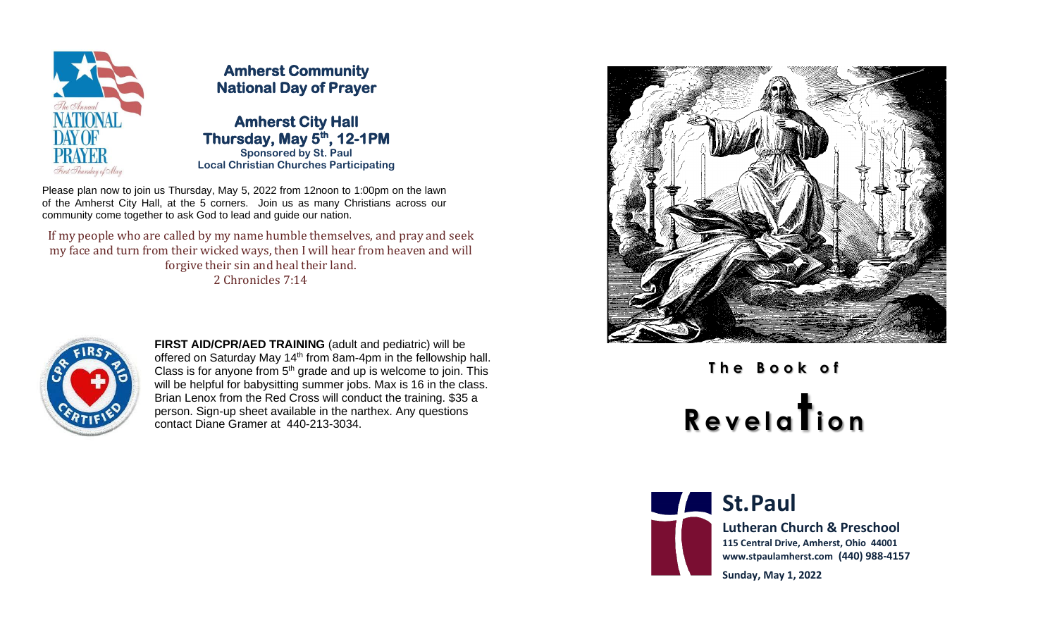

## **Amherst Community National Day of Prayer**

**Amherst City Hall Thursday, May 5 th, 12-1PM Sponsored by St. Paul Local Christian Churches Participating**

Please plan now to join us Thursday, May 5, 2022 from 12noon to 1:00pm on the lawn of the Amherst City Hall, at the 5 corners. Join us as many Christians across our community come together to ask God to lead and guide our nation.

If my people who are called by my name humble themselves, and pray and seek my face and turn from their wicked ways, then I will hear from heaven and will forgive their sin and heal their land. 2 Chronicles 7:14



**FIRST AID/CPR/AED TRAINING** (adult and pediatric) will be offered on Saturday May 14<sup>th</sup> from 8am-4pm in the fellowship hall. Class is for anyone from  $5<sup>th</sup>$  grade and up is welcome to join. This will be helpful for babysitting summer jobs. Max is 16 in the class. Brian Lenox from the Red Cross will conduct the training. \$35 a person. Sign-up sheet available in the narthex. Any questions contact Diane Gramer at 440-213-3034.



**T h e B o o k o f <sup>R</sup> e v e l a ti o n**



**St.Paul** 

**Lutheran Church & Preschool 115 Central Drive, Amherst, Ohio 44001 www.stpaulamherst.com (440) 988-4157**

**Sunday, May 1, 2022**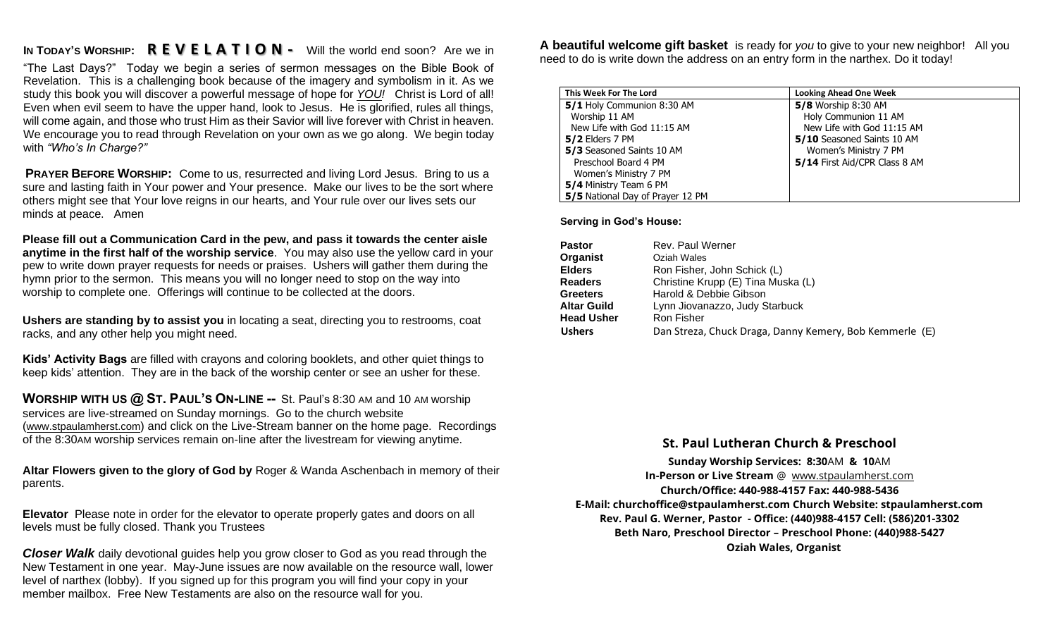## **IN TODAY'S WORSHIP: R E V E L A T I O N -** Will the world end soon? Are we in

"The Last Days?" Today we begin a series of sermon messages on the Bible Book of Revelation. This is a challenging book because of the imagery and symbolism in it. As we study this book you will discover a powerful message of hope for *YOU!* Christ is Lord of all! Even when evil seem to have the upper hand, look to Jesus. He is glorified, rules all things, will come again, and those who trust Him as their Savior will live forever with Christ in heaven. We encourage you to read through Revelation on your own as we go along. We begin today with *"Who's In Charge?"*

**PRAYER BEFORE WORSHIP:** Come to us, resurrected and living Lord Jesus. Bring to us a sure and lasting faith in Your power and Your presence. Make our lives to be the sort where others might see that Your love reigns in our hearts, and Your rule over our lives sets our minds at peace. Amen

**Please fill out a Communication Card in the pew, and pass it towards the center aisle anytime in the first half of the worship service**. You may also use the yellow card in your pew to write down prayer requests for needs or praises. Ushers will gather them during the hymn prior to the sermon. This means you will no longer need to stop on the way into worship to complete one. Offerings will continue to be collected at the doors.

**Ushers are standing by to assist you** in locating a seat, directing you to restrooms, coat racks, and any other help you might need.

**Kids' Activity Bags** are filled with crayons and coloring booklets, and other quiet things to keep kids' attention. They are in the back of the worship center or see an usher for these.

**WORSHIP WITH US @ ST. PAUL'S ON-LINE --** St. Paul's 8:30 AM and 10 AM worship services are live-streamed on Sunday mornings. Go to the church website (www.stpaulamherst.com) and click on the Live-Stream banner on the home page. Recordings of the 8:30AM worship services remain on-line after the livestream for viewing anytime.

**Altar Flowers given to the glory of God by** Roger & Wanda Aschenbach in memory of their parents.

**Elevator** Please note in order for the elevator to operate properly gates and doors on all levels must be fully closed. Thank you Trustees

*Closer Walk* daily devotional guides help you grow closer to God as you read through the New Testament in one year. May-June issues are now available on the resource wall, lower level of narthex (lobby). If you signed up for this program you will find your copy in your member mailbox. Free New Testaments are also on the resource wall for you.

**A beautiful welcome gift basket** is ready for *you* to give to your new neighbor! All you need to do is write down the address on an entry form in the narthex. Do it today!

| This Week For The Lord           | <b>Looking Ahead One Week</b> |  |
|----------------------------------|-------------------------------|--|
| 5/1 Holy Communion 8:30 AM       | <b>5/8</b> Worship 8:30 AM    |  |
| Worship 11 AM                    | Holy Communion 11 AM          |  |
| New Life with God 11:15 AM       | New Life with God 11:15 AM    |  |
| $5/2$ Elders 7 PM                | 5/10 Seasoned Saints 10 AM    |  |
| 5/3 Seasoned Saints 10 AM        | Women's Ministry 7 PM         |  |
| Preschool Board 4 PM             | 5/14 First Aid/CPR Class 8 AM |  |
| Women's Ministry 7 PM            |                               |  |
| 5/4 Ministry Team 6 PM           |                               |  |
| 5/5 National Day of Prayer 12 PM |                               |  |

 **Serving in God's House:**

| <b>Pastor</b>      | Rev. Paul Werner                                        |
|--------------------|---------------------------------------------------------|
| Organist           | Oziah Wales                                             |
| <b>Elders</b>      | Ron Fisher, John Schick (L)                             |
| <b>Readers</b>     | Christine Krupp (E) Tina Muska (L)                      |
| <b>Greeters</b>    | Harold & Debbie Gibson                                  |
| <b>Altar Guild</b> | Lynn Jiovanazzo, Judy Starbuck                          |
| <b>Head Usher</b>  | Ron Fisher                                              |
| <b>Ushers</b>      | Dan Streza, Chuck Draga, Danny Kemery, Bob Kemmerle (E) |

## **St. Paul Lutheran Church & Preschool**

**Sunday Worship Services: 8:30**AM **& 10**AM **In-Person or Live Stream** @ [www.stpaulamherst.com](http://www.stpaulamherst.com/) **Church/Office: 440-988-4157 Fax: 440-988-5436 E-Mail: churchoffice@stpaulamherst.com Church Website: stpaulamherst.com Rev. Paul G. Werner, Pastor - Office: (440)988-4157 Cell: (586)201-3302 Beth Naro, Preschool Director – Preschool Phone: (440)988-5427 Oziah Wales, Organist**